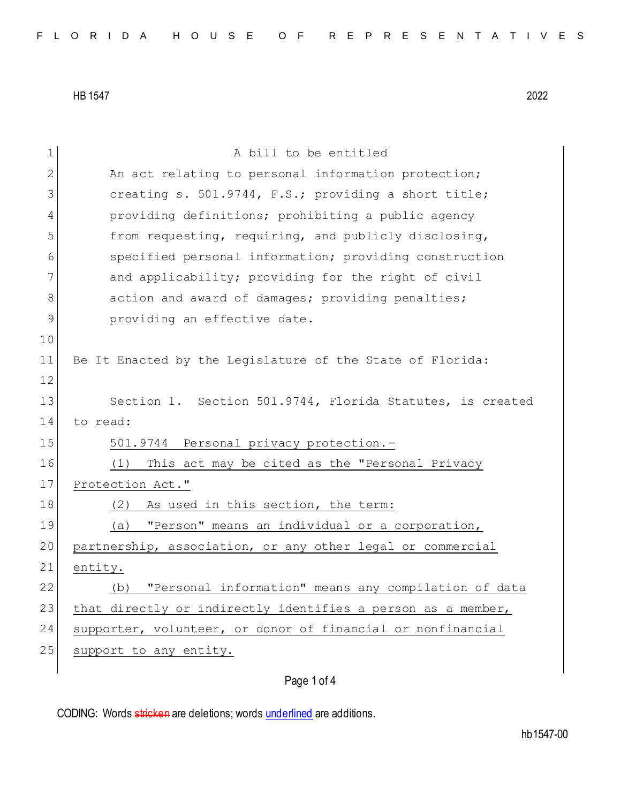| 1            | A bill to be entitled                                        |
|--------------|--------------------------------------------------------------|
| $\mathbf{2}$ | An act relating to personal information protection;          |
| 3            | creating s. 501.9744, F.S.; providing a short title;         |
| 4            | providing definitions; prohibiting a public agency           |
| 5            | from requesting, requiring, and publicly disclosing,         |
| 6            | specified personal information; providing construction       |
| 7            | and applicability; providing for the right of civil          |
| 8            | action and award of damages; providing penalties;            |
| $\mathsf 9$  | providing an effective date.                                 |
| 10           |                                                              |
| 11           | Be It Enacted by the Legislature of the State of Florida:    |
| 12           |                                                              |
| 13           | Section 1. Section 501.9744, Florida Statutes, is created    |
| 14           | to read:                                                     |
| 15           | 501.9744 Personal privacy protection.-                       |
| 16           | This act may be cited as the "Personal Privacy<br>(1)        |
| 17           | Protection Act."                                             |
| 18           | As used in this section, the term:<br>(2)                    |
| 19           | "Person" means an individual or a corporation,<br>(a)        |
| 20           | partnership, association, or any other legal or commercial   |
| 21           | entity.                                                      |
| 22           | "Personal information" means any compilation of data<br>(b)  |
| 23           | that directly or indirectly identifies a person as a member, |
| 24           | supporter, volunteer, or donor of financial or nonfinancial  |
| 25           | support to any entity.                                       |
|              |                                                              |

Page 1 of 4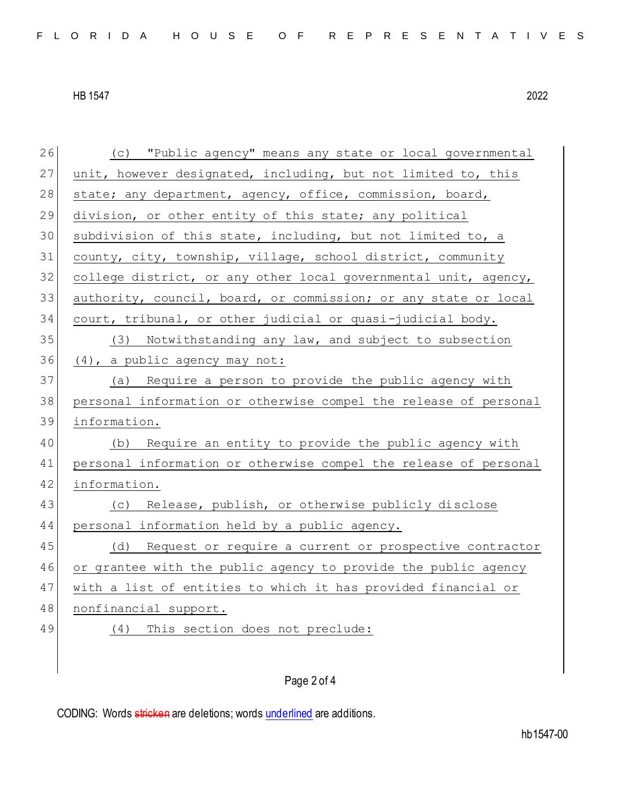| 26 | "Public agency" means any state or local governmental<br>(C)     |
|----|------------------------------------------------------------------|
| 27 | unit, however designated, including, but not limited to, this    |
| 28 | state; any department, agency, office, commission, board,        |
| 29 | division, or other entity of this state; any political           |
| 30 | subdivision of this state, including, but not limited to, a      |
| 31 | county, city, township, village, school district, community      |
| 32 | college district, or any other local governmental unit, agency,  |
| 33 | authority, council, board, or commission; or any state or local  |
| 34 | court, tribunal, or other judicial or quasi-judicial body.       |
| 35 | (3) Notwithstanding any law, and subject to subsection           |
| 36 | (4), a public agency may not:                                    |
| 37 | (a) Require a person to provide the public agency with           |
| 38 | personal information or otherwise compel the release of personal |
| 39 | information.                                                     |
| 40 | Require an entity to provide the public agency with<br>(b)       |
| 41 | personal information or otherwise compel the release of personal |
| 42 | information.                                                     |
| 43 | (c) Release, publish, or otherwise publicly disclose             |
| 44 | personal information held by a public agency.                    |
| 45 | (d) Request or require a current or prospective contractor       |
| 46 | or grantee with the public agency to provide the public agency   |
| 47 | with a list of entities to which it has provided financial or    |
| 48 | nonfinancial support.                                            |
| 49 | This section does not preclude:<br>(4)                           |
|    |                                                                  |
|    |                                                                  |

## Page 2 of 4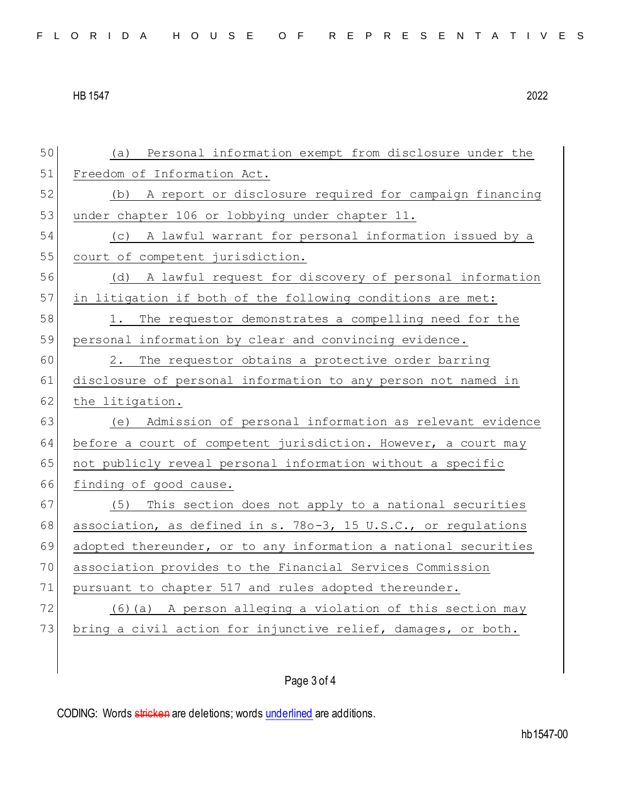| 50 | (a) Personal information exempt from disclosure under the       |
|----|-----------------------------------------------------------------|
| 51 | Freedom of Information Act.                                     |
| 52 | (b) A report or disclosure required for campaign financing      |
| 53 | under chapter 106 or lobbying under chapter 11.                 |
| 54 | (c) A lawful warrant for personal information issued by a       |
| 55 | court of competent jurisdiction.                                |
| 56 | (d) A lawful request for discovery of personal information      |
| 57 | in litigation if both of the following conditions are met:      |
| 58 | The requestor demonstrates a compelling need for the<br>1.      |
| 59 | personal information by clear and convincing evidence.          |
| 60 | The requestor obtains a protective order barring<br>2.          |
| 61 | disclosure of personal information to any person not named in   |
| 62 | the litigation.                                                 |
| 63 | (e) Admission of personal information as relevant evidence      |
| 64 | before a court of competent jurisdiction. However, a court may  |
| 65 | not publicly reveal personal information without a specific     |
| 66 | finding of good cause.                                          |
| 67 | This section does not apply to a national securities<br>(5)     |
| 68 | association, as defined in s. 780-3, 15 U.S.C., or regulations  |
| 69 | adopted thereunder, or to any information a national securities |
| 70 | association provides to the Financial Services Commission       |
| 71 | pursuant to chapter 517 and rules adopted thereunder.           |
| 72 | A person alleging a violation of this section may<br>(6)(a)     |
| 73 | bring a civil action for injunctive relief, damages, or both.   |
|    |                                                                 |
|    | Page 3 of 4                                                     |